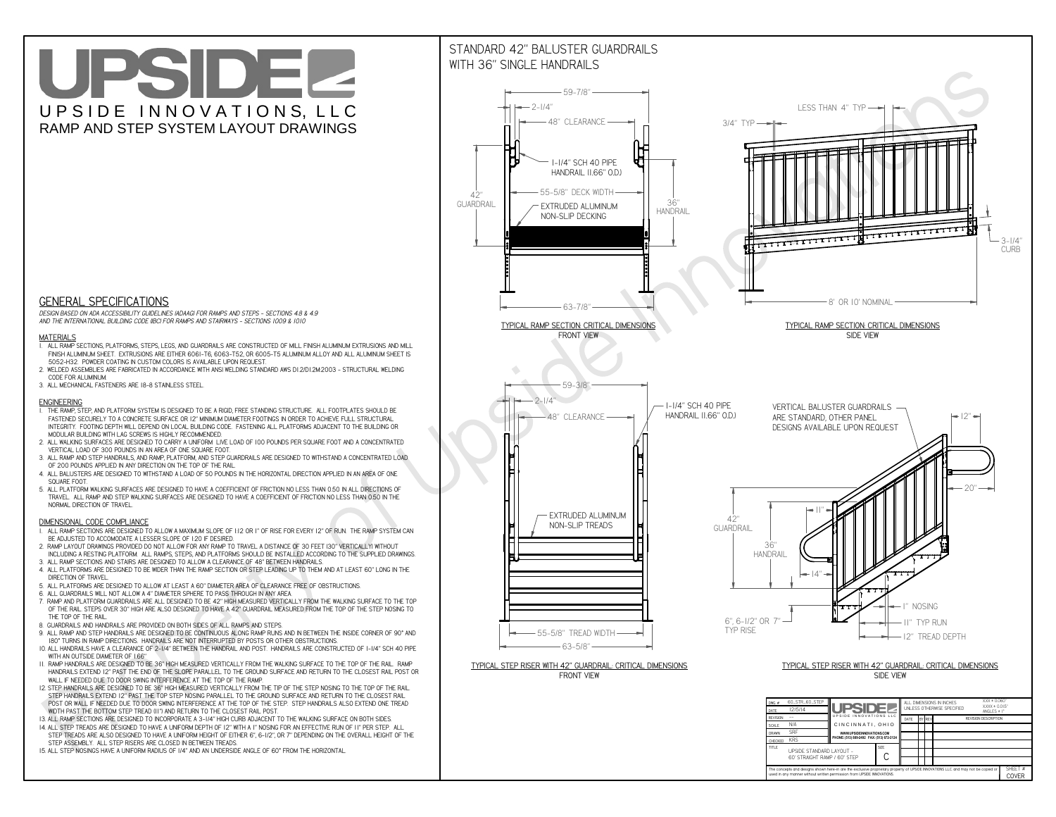**used in any manner without written permission from UPSIDE INNOVATIONS.**

# UPSIDEL UPSIDE INNOVATIONS, LLC RAMP AND STEP SYSTEM LAYOUT DRAWINGS

SHEET #**COVER**



The concepts and designs shown here-in are the exclusive proprietary property of UPSIDE INNOVATIONS LLC. and may not be copied o

**H** 

# WITH 36" SINGLE HANDRAILS



 *DESIGN BASED ON ADA ACCESSIBILITY GUIDELINES (ADAAG) FOR RAMPS AND STEPS - SECTIONS 4.8 & 4.9AND THE INTERNATIONAL BUILDING CODE (IBC) FOR RAMPS AND STAIRWAYS - SECTIONS 1009 & 1010*

### **MATERIALS**

- **1. ALL RAMP SECTIONS, PLATFORMS, STEPS, LEGS, AND GUARDRAILS ARE CONSTRUCTED OF MILL FINISH ALUMINUM EXTRUSIONS AND MILL FINISH ALUMINUM SHEET. EXTRUSIONS ARE EITHER 6061-T6, 6063-T52, OR 6005-T5 ALUMINUM ALLOY AND ALL ALUMINUM SHEET IS 5052-H32. POWDER COATING IN CUSTOM COLORS IS AVAILABLE UPON REQUEST.**
- **2. WELDED ASSEMBLIES ARE FABRICATED IN ACCORDANCE WITH ANSI WELDING STANDARD AWS D1.2/D1.2M:2003 STRUCTURAL WELDING CODE FOR ALUMINUM.**
- **3. ALL MECHANICAL FASTENERS ARE 18-8 STAINLESS STEEL.**

#### **ENGINEERING**

- **1. THE RAMP, STEP, AND PLATFORM SYSTEM IS DESIGNED TO BE A RIGID, FREE STANDING STRUCTURE. ALL FOOTPLATES SHOULD BE FASTENED SECURELY TO A CONCRETE SURFACE OR 12" MINIMUM DIAMETER FOOTINGS IN ORDER TO ACHIEVE FULL STRUCTURAL INTEGRITY. FOOTING DEPTH WILL DEPEND ON LOCAL BUILDING CODE. FASTENING ALL PLATFORMS ADJACENT TO THE BUILDING OR MODULAR BUILDING WITH LAG SCREWS IS HIGHLY RECOMMENDED.**
- **2. ALL WALKING SURFACES ARE DESIGNED TO CARRY A UNIFORM LIVE LOAD OF 100 POUNDS PER SQUARE FOOT AND A CONCENTRATED VERTICAL LOAD OF 300 POUNDS IN AN AREA OF ONE SQUARE FOOT.**
- **3. ALL RAMP AND STEP HANDRAILS, AND RAMP, PLATFORM, AND STEP GUARDRAILS ARE DESIGNED TO WITHSTAND A CONCENTRATED LOAD OF 200 POUNDS APPLIED IN ANY DIRECTION ON THE TOP OF THE RAIL.**
- **4. ALL BALUSTERS ARE DESIGNED TO WITHSTAND A LOAD OF 50 POUNDS IN THE HORIZONTAL DIRECTION APPLIED IN AN AREA OF ONE SQUARE FOOT.**
- **5. ALL PLATFORM WALKING SURFACES ARE DESIGNED TO HAVE A COEFFICIENT OF FRICTION NO LESS THAN 0.50 IN ALL DIRECTIONS OF TRAVEL. ALL RAMP AND STEP WALKING SURFACES ARE DESIGNED TO HAVE A COEFFICIENT OF FRICTION NO LESS THAN 0.50 IN THE NORMAL DIRECTION OF TRAVEL.**

### **DIMENSIONAL CODE COMPLIANCE**

- **1. ALL RAMP SECTIONS ARE DESIGNED TO ALLOW A MAXIMUM SLOPE OF 1:12 OR 1" OF RISE FOR EVERY 12" OF RUN. THE RAMP SYSTEM CAN BE ADJUSTED TO ACCOMODATE A LESSER SLOPE OF 1:20 IF DESIRED.**
- **2. RAMP LAYOUT DRAWINGS PROVIDED DO NOT ALLOW FOR ANY RAMP TO TRAVEL A DISTANCE OF 30 FEET (30" VERTICALLY) WITHOUT INCLUDING A RESTING PLATFORM. ALL RAMPS, STEPS, AND PLATFORMS SHOULD BE INSTALLED ACCORDING TO THE SUPPLIED DRAWINGS.**
- **3. ALL RAMP SECTIONS AND STAIRS ARE DESIGNED TO ALLOW A CLEARANCE OF 48" BETWEEN HANDRAILS.**
- **4. ALL PLATFORMS ARE DESIGNED TO BE WIDER THAN THE RAMP SECTION OR STEP LEADING UP TO THEM AND AT LEAST 60" LONG IN THE DIRECTION OF TRAVEL.**
- **5. ALL PLATFORMS ARE DESIGNED TO ALLOW AT LEAST A 60" DIAMETER AREA OF CLEARANCE FREE OF OBSTRUCTIONS.**
- **6. ALL GUARDRAILS WILL NOT ALLOW A 4" DIAMETER SPHERE TO PASS THROUGH IN ANY AREA.**
- **7. RAMP AND PLATFORM GUARDRAILS ARE ALL DESIGNED TO BE 42" HIGH MEASURED VERTICALLY FROM THE WALKING SURFACE TO THE TOP OF THE RAIL. STEPS OVER 30" HIGH ARE ALSO DESIGNED TO HAVE A 42" GUARDRAIL MEASURED FROM THE TOP OF THE STEP NOSING TO THE TOP OF THE RAIL.**
- **8. GUARDRAILS AND HANDRAILS ARE PROVIDED ON BOTH SIDES OF ALL RAMPS AND STEPS.**
- **9. ALL RAMP AND STEP HANDRAILS ARE DESIGNED TO BE CONTINUOUS ALONG RAMP RUNS AND IN BETWEEN THE INSIDE CORNER OF 90° AND 180° TURNS IN RAMP DIRECTIONS. HANDRAILS ARE NOT INTERRUPTED BY POSTS OR OTHER OBSTRUCTIONS.**
- **10. ALL HANDRAILS HAVE A CLEARANCE OF 2-1/4" BETWEEN THE HANDRAIL AND POST. HANDRAILS ARE CONSTRUCTED OF 1-1/4" SCH 40 PIPE WITH AN OUTSIDE DIAMETER OF 1.66"**
- **11. RAMP HANDRAILS ARE DESIGNED TO BE 36" HIGH MEASURED VERTICALLY FROM THE WALKING SURFACE TO THE TOP OF THE RAIL. RAMP HANDRAILS EXTEND 12" PAST THE END OF THE SLOPE PARALLEL TO THE GROUND SURFACE AND RETURN TO THE CLOSEST RAIL POST OR WALL IF NEEDED DUE TO DOOR SWING INTERFERENCE AT THE TOP OF THE RAMP.**
- **12. STEP HANDRAILS ARE DESIGNED TO BE 36" HIGH MEASURED VERTICALLY FROM THE TIP OF THE STEP NOSING TO THE TOP OF THE RAIL. STEP HANDRAILS EXTEND 12" PAST THE TOP STEP NOSING PARALLEL TO THE GROUND SURFACE AND RETURN TO THE CLOSEST RAIL POST OR WALL IF NEEDED DUE TO DOOR SWING INTERFERENCE AT THE TOP OF THE STEP. STEP HANDRAILS ALSO EXTEND ONE TREAD WIDTH PAST THE BOTTOM STEP TREAD (11") AND RETURN TO THE CLOSEST RAIL POST.**
- **13. ALL RAMP SECTIONS ARE DESIGNED TO INCORPORATE A 3-1/4" HIGH CURB ADJACENT TO THE WALKING SURFACE ON BOTH SIDES.**
- **14. ALL STEP TREADS ARE DESIGNED TO HAVE A UNIFORM DEPTH OF 12" WITH A 1" NOSING FOR AN EFFECTIVE RUN OF 11" PER STEP. ALL**
- **STEP TREADS ARE ALSO DESIGNED TO HAVE A UNIFORM HEIGHT OF EITHER 6", 6-1/2", OR 7" DEPENDING ON THE OVERALL HEIGHT OF THE STEP ASSEMBLY. ALL STEP RISERS ARE CLOSED IN BETWEEN TREADS.**
- **15. ALL STEP NOSINGS HAVE A UNIFORM RADIUS OF 1/4" AND AN UNDERSIDE ANGLE OF 60° FROM THE HORIZONTAL.**